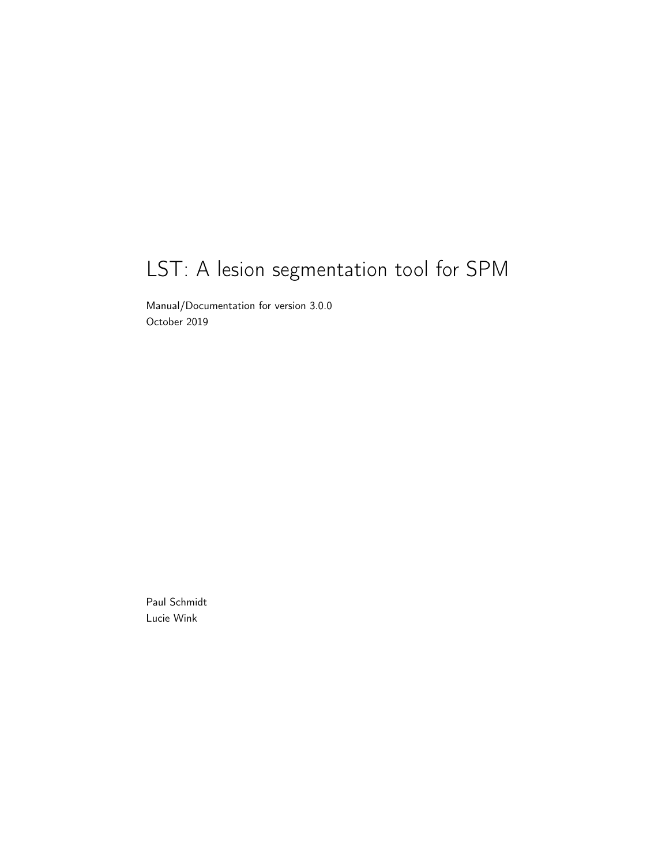# LST: A lesion segmentation tool for SPM

Manual/Documentation for version 3.0.0 October 2019

Paul Schmidt Lucie Wink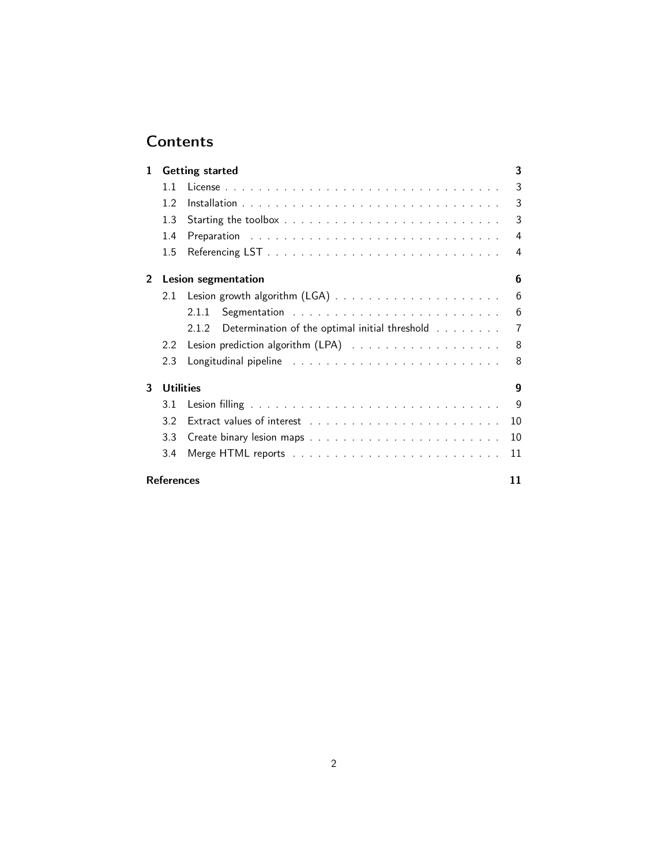# **Contents**

| 1              | <b>Getting started</b> |                                                         | 3  |
|----------------|------------------------|---------------------------------------------------------|----|
|                | 11                     |                                                         | 3  |
|                | 1.2                    |                                                         | 3  |
|                | 1.3                    |                                                         | 3  |
|                | 1.4                    |                                                         | 4  |
|                | 1.5                    |                                                         | 4  |
| $\overline{2}$ | Lesion segmentation    |                                                         | 6  |
|                | 2.1                    |                                                         | 6  |
|                |                        | 2.1.1                                                   | 6  |
|                |                        | Determination of the optimal initial threshold<br>2.1.2 | 7  |
|                | 2.2                    |                                                         | 8  |
|                | 2.3                    |                                                         | 8  |
| 3              | <b>Utilities</b>       |                                                         | 9  |
|                | 3.1                    |                                                         | 9  |
|                | 3.2                    |                                                         | 10 |
|                | 3.3                    |                                                         | 10 |
|                | 3.4                    |                                                         | 11 |
|                | <b>References</b>      |                                                         |    |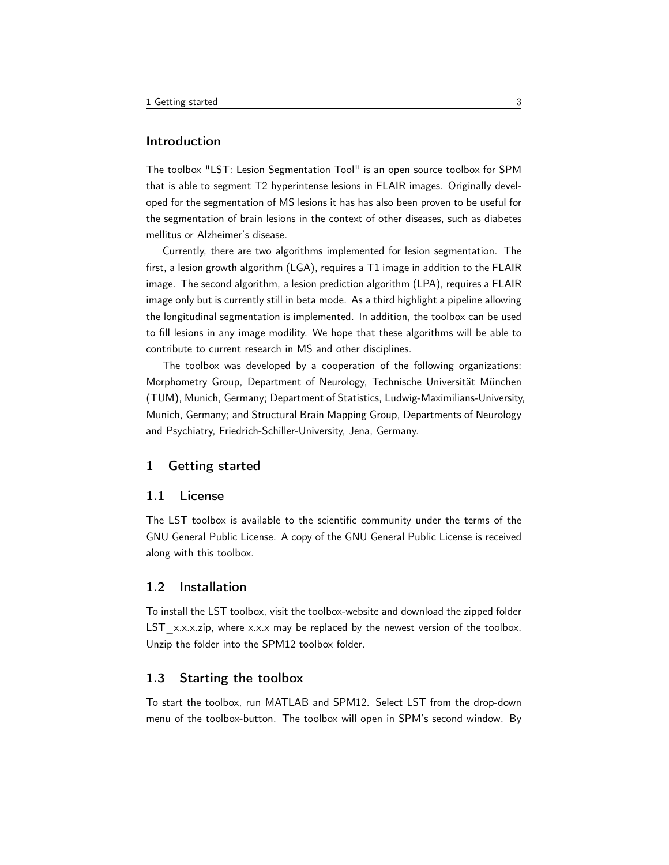# Introduction

The toolbox "LST: Lesion Segmentation Tool" is an open source toolbox for SPM that is able to segment T2 hyperintense lesions in FLAIR images. Originally developed for the segmentation of MS lesions it has has also been proven to be useful for the segmentation of brain lesions in the context of other diseases, such as diabetes mellitus or Alzheimer's disease.

Currently, there are two algorithms implemented for lesion segmentation. The first, a lesion growth algorithm (LGA), requires a T1 image in addition to the FLAIR image. The second algorithm, a lesion prediction algorithm (LPA), requires a FLAIR image only but is currently still in beta mode. As a third highlight a pipeline allowing the longitudinal segmentation is implemented. In addition, the toolbox can be used to fill lesions in any image modility. We hope that these algorithms will be able to contribute to current research in MS and other disciplines.

The toolbox was developed by a cooperation of the following organizations: Morphometry Group, Department of Neurology, Technische Universität München (TUM), Munich, Germany; Department of Statistics, Ludwig-Maximilians-University, Munich, Germany; and Structural Brain Mapping Group, Departments of Neurology and Psychiatry, Friedrich-Schiller-University, Jena, Germany.

# <span id="page-2-0"></span>1 Getting started

#### <span id="page-2-1"></span>1.1 License

The LST toolbox is available to the scientific community under the terms of the GNU General Public License. A copy of the GNU General Public License is received along with this toolbox.

#### <span id="page-2-2"></span>1.2 Installation

To install the LST toolbox, visit the toolbox-website and download the zipped folder LST  $x.x.x.zip$ , where  $x.x.x$  may be replaced by the newest version of the toolbox. Unzip the folder into the SPM12 toolbox folder.

# <span id="page-2-3"></span>1.3 Starting the toolbox

To start the toolbox, run MATLAB and SPM12. Select LST from the drop-down menu of the toolbox-button. The toolbox will open in SPM's second window. By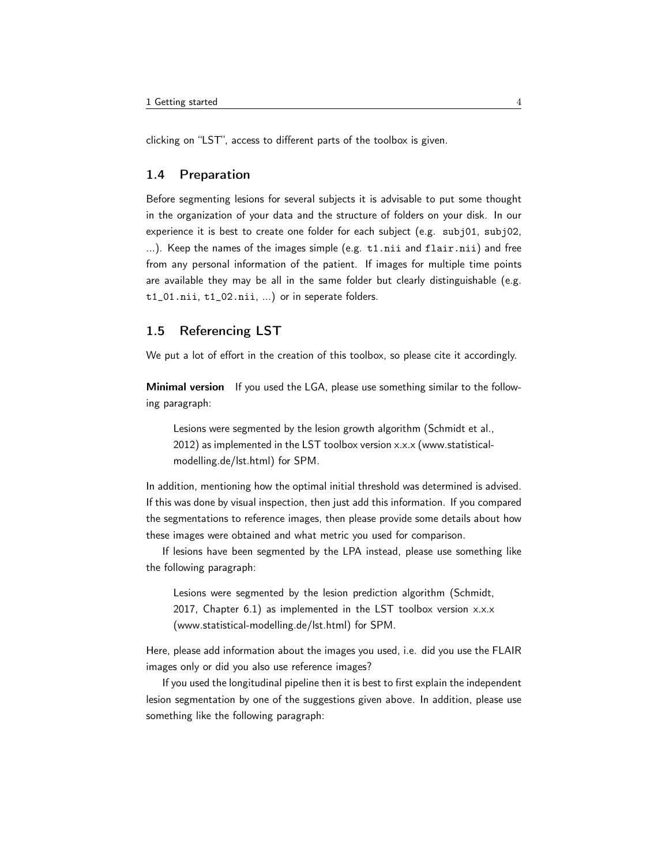clicking on "LST", access to different parts of the toolbox is given.

# <span id="page-3-0"></span>1.4 Preparation

Before segmenting lesions for several subjects it is advisable to put some thought in the organization of your data and the structure of folders on your disk. In our experience it is best to create one folder for each subject (e.g. subj01, subj02, ...). Keep the names of the images simple (e.g. t1.nii and flair.nii) and free from any personal information of the patient. If images for multiple time points are available they may be all in the same folder but clearly distinguishable (e.g. t1\_01.nii, t1\_02.nii, ...) or in seperate folders.

# <span id="page-3-1"></span>1.5 Referencing LST

We put a lot of effort in the creation of this toolbox, so please cite it accordingly.

Minimal version If you used the LGA, please use something similar to the following paragraph:

Lesions were segmented by the lesion growth algorithm [\(Schmidt et al.,](#page-10-2) [2012\)](#page-10-2) as implemented in the LST toolbox version x.x.x (www.statisticalmodelling.de/lst.html) for SPM.

In addition, mentioning how the optimal initial threshold was determined is advised. If this was done by visual inspection, then just add this information. If you compared the segmentations to reference images, then please provide some details about how these images were obtained and what metric you used for comparison.

If lesions have been segmented by the LPA instead, please use something like the following paragraph:

Lesions were segmented by the lesion prediction algorithm [\(Schmidt,](#page-10-3) [2017,](#page-10-3) Chapter 6.1) as implemented in the LST toolbox version x.x.x (www.statistical-modelling.de/lst.html) for SPM.

Here, please add information about the images you used, i.e. did you use the FLAIR images only or did you also use reference images?

If you used the longitudinal pipeline then it is best to first explain the independent lesion segmentation by one of the suggestions given above. In addition, please use something like the following paragraph: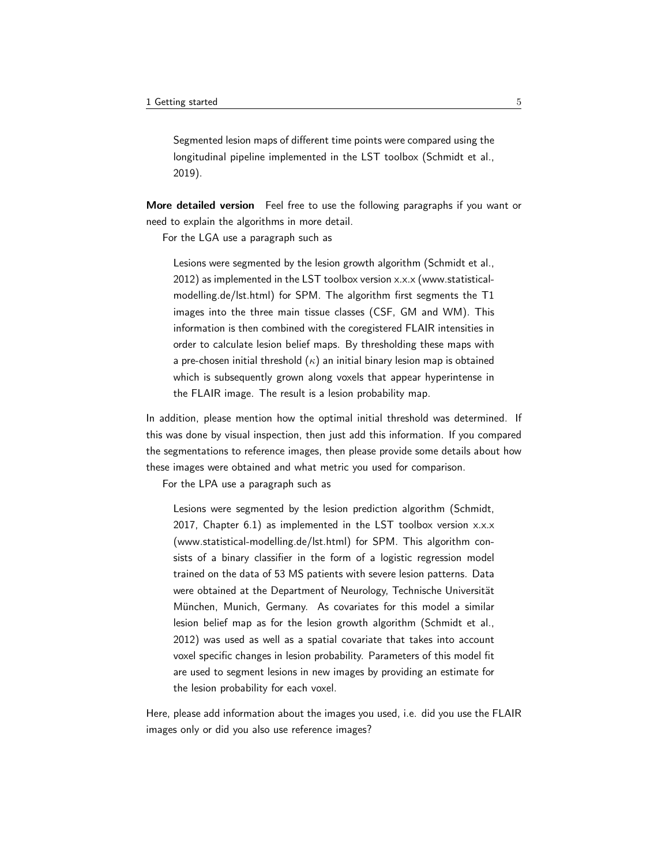Segmented lesion maps of different time points were compared using the longitudinal pipeline implemented in the LST toolbox [\(Schmidt et al.,](#page-10-4) [2019\)](#page-10-4).

More detailed version Feel free to use the following paragraphs if you want or need to explain the algorithms in more detail.

For the LGA use a paragraph such as

Lesions were segmented by the lesion growth algorithm [\(Schmidt et al.,](#page-10-2) [2012\)](#page-10-2) as implemented in the LST toolbox version x.x.x (www.statisticalmodelling.de/lst.html) for SPM. The algorithm first segments the T1 images into the three main tissue classes (CSF, GM and WM). This information is then combined with the coregistered FLAIR intensities in order to calculate lesion belief maps. By thresholding these maps with a pre-chosen initial threshold  $(\kappa)$  an initial binary lesion map is obtained which is subsequently grown along voxels that appear hyperintense in the FLAIR image. The result is a lesion probability map.

In addition, please mention how the optimal initial threshold was determined. If this was done by visual inspection, then just add this information. If you compared the segmentations to reference images, then please provide some details about how these images were obtained and what metric you used for comparison.

For the LPA use a paragraph such as

Lesions were segmented by the lesion prediction algorithm [\(Schmidt,](#page-10-3) [2017,](#page-10-3) Chapter 6.1) as implemented in the LST toolbox version x.x.x (www.statistical-modelling.de/lst.html) for SPM. This algorithm consists of a binary classifier in the form of a logistic regression model trained on the data of 53 MS patients with severe lesion patterns. Data were obtained at the Department of Neurology, Technische Universität München, Munich, Germany. As covariates for this model a similar lesion belief map as for the lesion growth algorithm [\(Schmidt et al.,](#page-10-2) [2012\)](#page-10-2) was used as well as a spatial covariate that takes into account voxel specific changes in lesion probability. Parameters of this model fit are used to segment lesions in new images by providing an estimate for the lesion probability for each voxel.

Here, please add information about the images you used, i.e. did you use the FLAIR images only or did you also use reference images?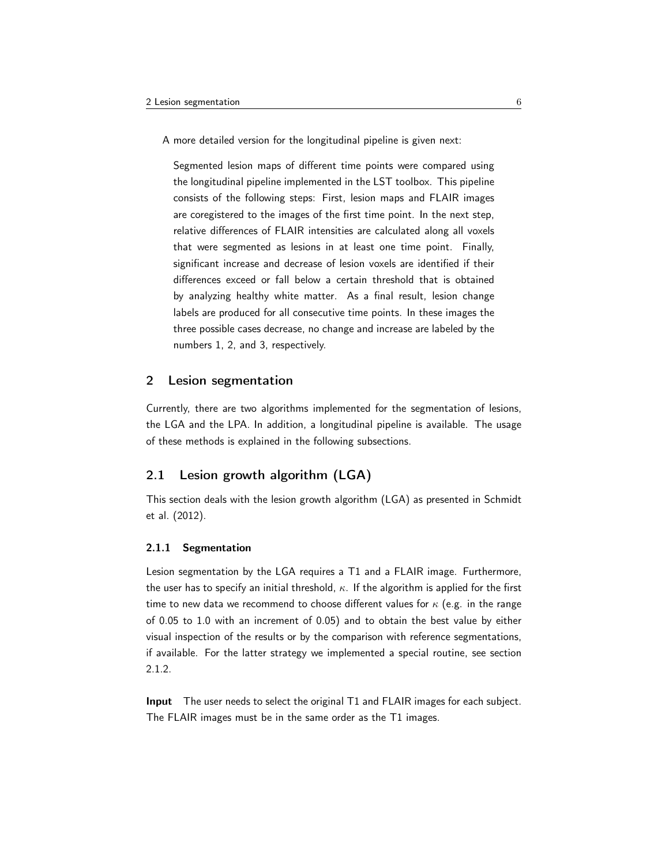A more detailed version for the longitudinal pipeline is given next:

Segmented lesion maps of different time points were compared using the longitudinal pipeline implemented in the LST toolbox. This pipeline consists of the following steps: First, lesion maps and FLAIR images are coregistered to the images of the first time point. In the next step, relative differences of FLAIR intensities are calculated along all voxels that were segmented as lesions in at least one time point. Finally, significant increase and decrease of lesion voxels are identified if their differences exceed or fall below a certain threshold that is obtained by analyzing healthy white matter. As a final result, lesion change labels are produced for all consecutive time points. In these images the three possible cases decrease, no change and increase are labeled by the numbers 1, 2, and 3, respectively.

#### <span id="page-5-0"></span>2 Lesion segmentation

Currently, there are two algorithms implemented for the segmentation of lesions, the LGA and the LPA. In addition, a longitudinal pipeline is available. The usage of these methods is explained in the following subsections.

# <span id="page-5-1"></span>2.1 Lesion growth algorithm (LGA)

This section deals with the lesion growth algorithm (LGA) as presented in [Schmidt](#page-10-2) [et al.](#page-10-2) [\(2012\)](#page-10-2).

#### <span id="page-5-2"></span>2.1.1 Segmentation

Lesion segmentation by the LGA requires a T1 and a FLAIR image. Furthermore, the user has to specify an initial threshold,  $\kappa$ . If the algorithm is applied for the first time to new data we recommend to choose different values for  $\kappa$  (e.g. in the range of 0.05 to 1.0 with an increment of 0.05) and to obtain the best value by either visual inspection of the results or by the comparison with reference segmentations, if available. For the latter strategy we implemented a special routine, see section [2.1.2.](#page-6-0)

Input The user needs to select the original T1 and FLAIR images for each subject. The FLAIR images must be in the same order as the T1 images.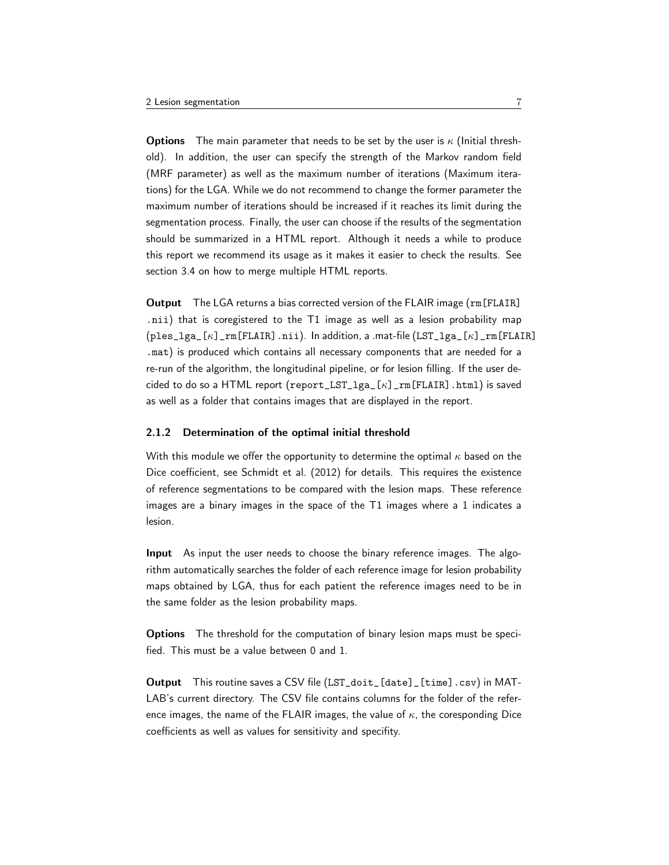**Options** The main parameter that needs to be set by the user is  $\kappa$  (Initial threshold). In addition, the user can specify the strength of the Markov random field (MRF parameter) as well as the maximum number of iterations (Maximum iterations) for the LGA. While we do not recommend to change the former parameter the maximum number of iterations should be increased if it reaches its limit during the segmentation process. Finally, the user can choose if the results of the segmentation should be summarized in a HTML report. Although it needs a while to produce this report we recommend its usage as it makes it easier to check the results. See section [3.4](#page-10-0) on how to merge multiple HTML reports.

Output The LGA returns a bias corrected version of the FLAIR image (rm[FLAIR] .nii) that is coregistered to the T1 image as well as a lesion probability map  $(ples_lga_{k}]_{rm[FLAIR],ni).}$  In addition, a .mat-file  $(LST_lga_{k}]_{rm[FLAIR],}$ .mat) is produced which contains all necessary components that are needed for a re-run of the algorithm, the longitudinal pipeline, or for lesion filling. If the user decided to do so a HTML report (report\_LST\_lga\_[κ]\_rm[FLAIR].html) is saved as well as a folder that contains images that are displayed in the report.

#### <span id="page-6-0"></span>2.1.2 Determination of the optimal initial threshold

With this module we offer the opportunity to determine the optimal  $\kappa$  based on the Dice coefficient, see [Schmidt et al.](#page-10-2) [\(2012\)](#page-10-2) for details. This requires the existence of reference segmentations to be compared with the lesion maps. These reference images are a binary images in the space of the T1 images where a 1 indicates a lesion.

Input As input the user needs to choose the binary reference images. The algorithm automatically searches the folder of each reference image for lesion probability maps obtained by LGA, thus for each patient the reference images need to be in the same folder as the lesion probability maps.

Options The threshold for the computation of binary lesion maps must be specified. This must be a value between 0 and 1.

Output This routine saves a CSV file (LST\_doit\_[date]\_[time].csv) in MAT-LAB's current directory. The CSV file contains columns for the folder of the reference images, the name of the FLAIR images, the value of  $\kappa$ , the coresponding Dice coefficients as well as values for sensitivity and specifity.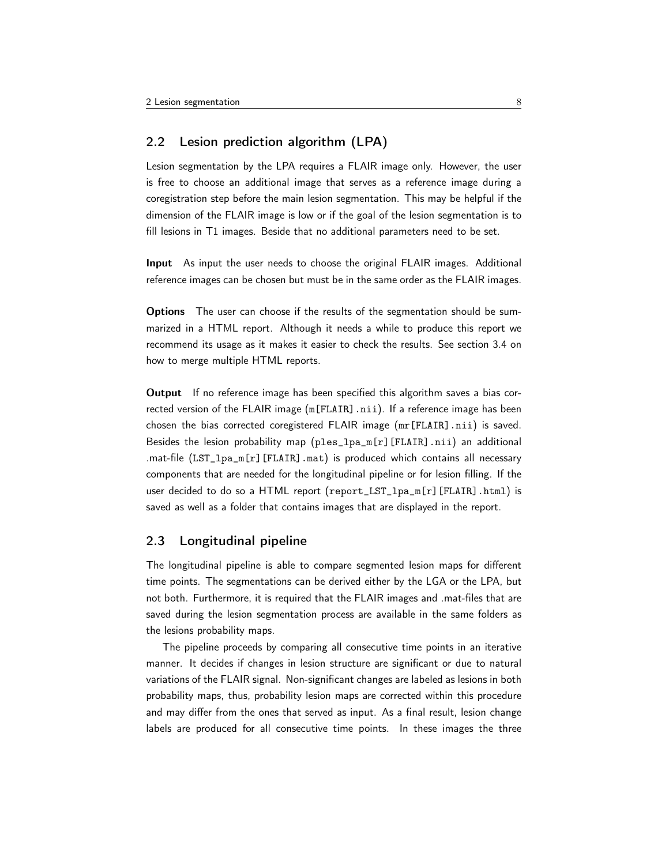# <span id="page-7-0"></span>2.2 Lesion prediction algorithm (LPA)

Lesion segmentation by the LPA requires a FLAIR image only. However, the user is free to choose an additional image that serves as a reference image during a coregistration step before the main lesion segmentation. This may be helpful if the dimension of the FLAIR image is low or if the goal of the lesion segmentation is to fill lesions in T1 images. Beside that no additional parameters need to be set.

Input As input the user needs to choose the original FLAIR images. Additional reference images can be chosen but must be in the same order as the FLAIR images.

Options The user can choose if the results of the segmentation should be summarized in a HTML report. Although it needs a while to produce this report we recommend its usage as it makes it easier to check the results. See section [3.4](#page-10-0) on how to merge multiple HTML reports.

Output If no reference image has been specified this algorithm saves a bias corrected version of the FLAIR image (m[FLAIR].nii). If a reference image has been chosen the bias corrected coregistered FLAIR image (mr[FLAIR].nii) is saved. Besides the lesion probability map (ples\_lpa\_m[r][FLAIR].nii) an additional .mat-file (LST\_lpa\_m[r][FLAIR].mat) is produced which contains all necessary components that are needed for the longitudinal pipeline or for lesion filling. If the user decided to do so a HTML report (report\_LST\_lpa\_m[r][FLAIR].html) is saved as well as a folder that contains images that are displayed in the report.

#### <span id="page-7-1"></span>2.3 Longitudinal pipeline

The longitudinal pipeline is able to compare segmented lesion maps for different time points. The segmentations can be derived either by the LGA or the LPA, but not both. Furthermore, it is required that the FLAIR images and .mat-files that are saved during the lesion segmentation process are available in the same folders as the lesions probability maps.

The pipeline proceeds by comparing all consecutive time points in an iterative manner. It decides if changes in lesion structure are significant or due to natural variations of the FLAIR signal. Non-significant changes are labeled as lesions in both probability maps, thus, probability lesion maps are corrected within this procedure and may differ from the ones that served as input. As a final result, lesion change labels are produced for all consecutive time points. In these images the three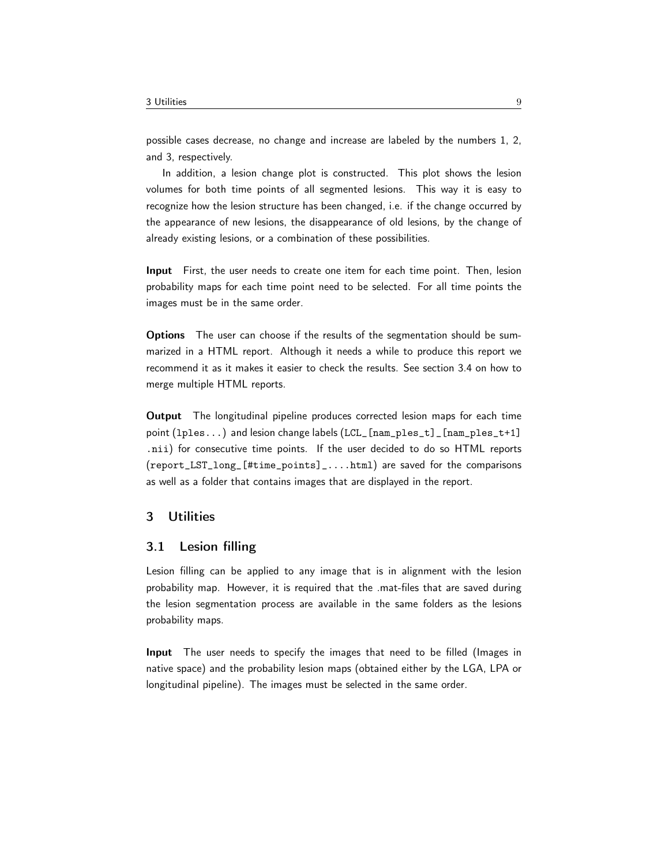possible cases decrease, no change and increase are labeled by the numbers 1, 2, and 3, respectively.

In addition, a lesion change plot is constructed. This plot shows the lesion volumes for both time points of all segmented lesions. This way it is easy to recognize how the lesion structure has been changed, i.e. if the change occurred by the appearance of new lesions, the disappearance of old lesions, by the change of already existing lesions, or a combination of these possibilities.

Input First, the user needs to create one item for each time point. Then, lesion probability maps for each time point need to be selected. For all time points the images must be in the same order.

Options The user can choose if the results of the segmentation should be summarized in a HTML report. Although it needs a while to produce this report we recommend it as it makes it easier to check the results. See section [3.4](#page-10-0) on how to merge multiple HTML reports.

Output The longitudinal pipeline produces corrected lesion maps for each time point (lples...) and lesion change labels (LCL\_[nam\_ples\_t]\_[nam\_ples\_t+1] .nii) for consecutive time points. If the user decided to do so HTML reports (report\_LST\_long\_[#time\_points]\_....html) are saved for the comparisons as well as a folder that contains images that are displayed in the report.

# <span id="page-8-0"></span>3 Utilities

# <span id="page-8-1"></span>3.1 Lesion filling

Lesion filling can be applied to any image that is in alignment with the lesion probability map. However, it is required that the .mat-files that are saved during the lesion segmentation process are available in the same folders as the lesions probability maps.

Input The user needs to specify the images that need to be filled (Images in native space) and the probability lesion maps (obtained either by the LGA, LPA or longitudinal pipeline). The images must be selected in the same order.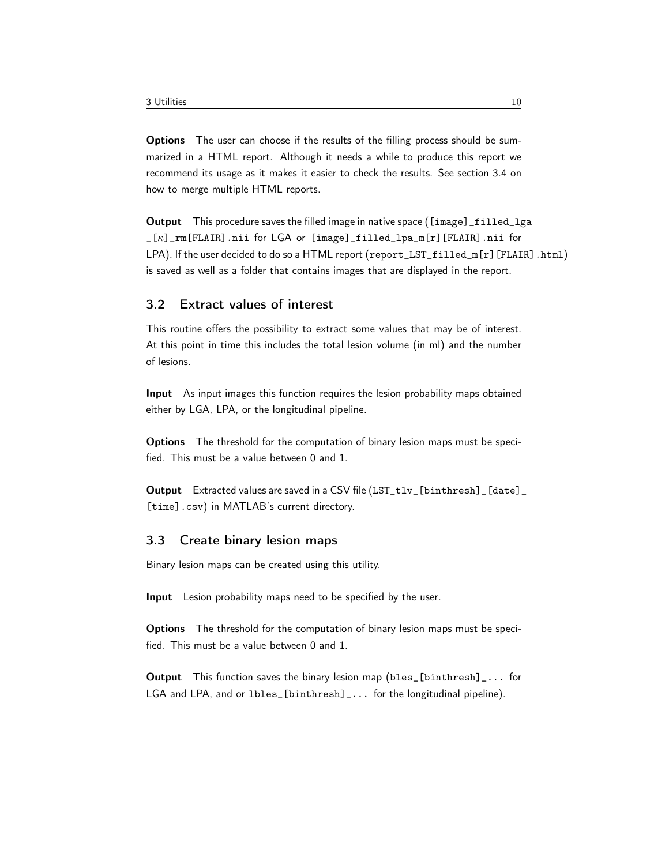Options The user can choose if the results of the filling process should be summarized in a HTML report. Although it needs a while to produce this report we recommend its usage as it makes it easier to check the results. See section [3.4](#page-10-0) on how to merge multiple HTML reports.

Output This procedure saves the filled image in native space ([image]\_filled\_lga \_[κ]\_rm[FLAIR].nii for LGA or [image]\_filled\_lpa\_m[r][FLAIR].nii for LPA). If the user decided to do so a HTML report (report\_LST\_filled\_m[r][FLAIR].html) is saved as well as a folder that contains images that are displayed in the report.

# <span id="page-9-0"></span>3.2 Extract values of interest

This routine offers the possibility to extract some values that may be of interest. At this point in time this includes the total lesion volume (in ml) and the number of lesions.

Input As input images this function requires the lesion probability maps obtained either by LGA, LPA, or the longitudinal pipeline.

Options The threshold for the computation of binary lesion maps must be specified. This must be a value between 0 and 1.

Output Extracted values are saved in a CSV file (LST\_tlv\_[binthresh]\_[date]\_ [time].csv) in MATLAB's current directory.

# <span id="page-9-1"></span>3.3 Create binary lesion maps

Binary lesion maps can be created using this utility.

Input Lesion probability maps need to be specified by the user.

Options The threshold for the computation of binary lesion maps must be specified. This must be a value between 0 and 1.

Output This function saves the binary lesion map (bles\_[binthresh]\_... for LGA and LPA, and or lbles\_[binthresh]\_... for the longitudinal pipeline).